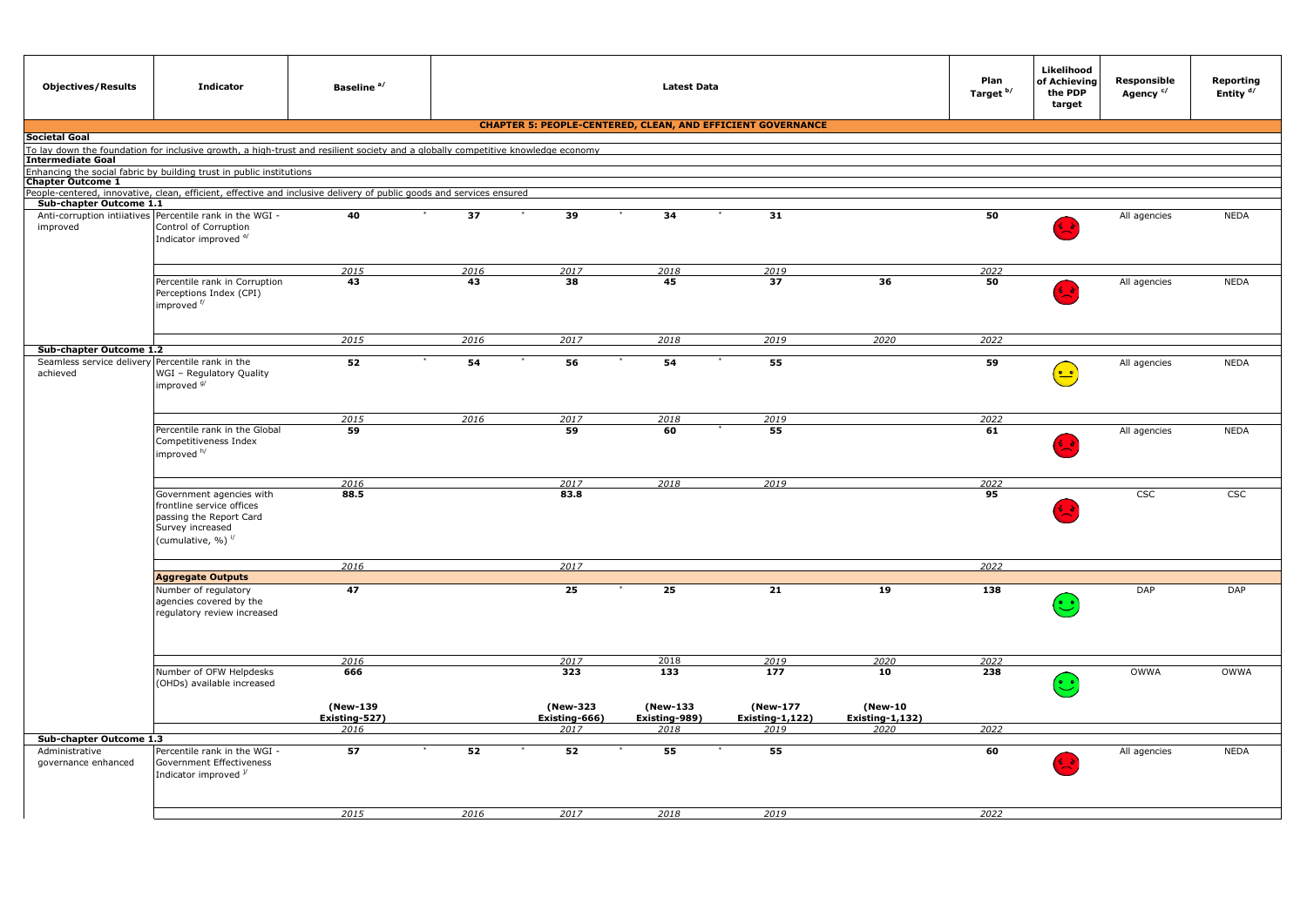| <b>Objectives/Results</b>                                                   | <b>Indicator</b>                                                                                                                      | Baseline <sup>a/</sup>                                                                                                                          | <b>Latest Data</b> |                           |                           |                                                                    |                                   | Plan<br>Target b/ | Likelihood<br>of Achieving<br>the PDP<br>target | Responsible<br>Agency <sup>c/</sup> | Reporting<br>Entity <sup>d/</sup> |
|-----------------------------------------------------------------------------|---------------------------------------------------------------------------------------------------------------------------------------|-------------------------------------------------------------------------------------------------------------------------------------------------|--------------------|---------------------------|---------------------------|--------------------------------------------------------------------|-----------------------------------|-------------------|-------------------------------------------------|-------------------------------------|-----------------------------------|
|                                                                             |                                                                                                                                       |                                                                                                                                                 |                    |                           |                           | <b>CHAPTER 5: PEOPLE-CENTERED, CLEAN, AND EFFICIENT GOVERNANCE</b> |                                   |                   |                                                 |                                     |                                   |
| <b>Societal Goal</b>                                                        |                                                                                                                                       |                                                                                                                                                 |                    |                           |                           |                                                                    |                                   |                   |                                                 |                                     |                                   |
|                                                                             |                                                                                                                                       | To lay down the foundation for inclusive growth, a high-trust and resilient society and a globally competitive knowledge economy                |                    |                           |                           |                                                                    |                                   |                   |                                                 |                                     |                                   |
|                                                                             | Enhancing the social fabric by building trust in public institutions                                                                  |                                                                                                                                                 |                    |                           |                           |                                                                    |                                   |                   |                                                 |                                     |                                   |
| <b>Chapter Outcome 1</b>                                                    |                                                                                                                                       |                                                                                                                                                 |                    |                           |                           |                                                                    |                                   |                   |                                                 |                                     |                                   |
|                                                                             |                                                                                                                                       | People-centered, innovative, clean, efficient, effective and inclusive delivery of public goods and services ensured<br>Sub-chapter Outcome 1.1 |                    |                           |                           |                                                                    |                                   |                   |                                                 |                                     |                                   |
|                                                                             |                                                                                                                                       |                                                                                                                                                 |                    |                           |                           |                                                                    |                                   |                   |                                                 |                                     |                                   |
| improved                                                                    | Anti-corruption intiiatives Percentile rank in the WGI -<br>Control of Corruption<br>Indicator improved e/                            | 40                                                                                                                                              | 37                 | 39                        | 34                        | 31                                                                 |                                   | 50                | لا کا                                           | All agencies                        | <b>NEDA</b>                       |
|                                                                             |                                                                                                                                       | 2015                                                                                                                                            | 2016               |                           |                           |                                                                    |                                   | 2022              |                                                 |                                     |                                   |
|                                                                             | Percentile rank in Corruption<br>Perceptions Index (CPI)                                                                              | 43                                                                                                                                              | 43                 | 2017<br>38                | 2018<br>45                | 2019<br>37                                                         | 36                                | 50                |                                                 | All agencies                        | <b>NEDA</b>                       |
|                                                                             | improved <sup>t/</sup>                                                                                                                |                                                                                                                                                 |                    |                           |                           |                                                                    |                                   |                   |                                                 |                                     |                                   |
|                                                                             |                                                                                                                                       | 2015                                                                                                                                            | 2016               | 2017                      | 2018                      | 2019                                                               | 2020                              | 2022              |                                                 |                                     |                                   |
| Sub-chapter Outcome 1.2<br>Seamless service delivery Percentile rank in the |                                                                                                                                       | 52                                                                                                                                              | 54                 | 56                        | 54                        | 55                                                                 |                                   | 59                |                                                 |                                     | <b>NEDA</b>                       |
| achieved                                                                    | WGI - Regulatory Quality<br>improved 9/                                                                                               |                                                                                                                                                 |                    |                           |                           |                                                                    |                                   |                   | $(\underline{\bullet\phantom{a}\bullet}$        | All agencies                        |                                   |
|                                                                             |                                                                                                                                       |                                                                                                                                                 |                    |                           |                           |                                                                    |                                   |                   |                                                 |                                     |                                   |
|                                                                             | Percentile rank in the Global<br>Competitiveness Index<br>improved h/                                                                 | 2015<br>59                                                                                                                                      | 2016               | 2017<br>59                | 2018<br>60                | 2019<br>55                                                         |                                   | 2022<br>61        |                                                 | All agencies                        | <b>NEDA</b>                       |
|                                                                             |                                                                                                                                       | 2016                                                                                                                                            |                    | 2017                      | 2018                      | 2019                                                               |                                   | 2022              |                                                 |                                     |                                   |
|                                                                             | Government agencies with<br>frontline service offices<br>passing the Report Card<br>Survey increased<br>(cumulative, %) <sup>1/</sup> | 88.5                                                                                                                                            |                    | 83.8                      |                           |                                                                    |                                   | 95                |                                                 | CSC                                 | <b>CSC</b>                        |
|                                                                             |                                                                                                                                       | 2016                                                                                                                                            |                    | 2017                      |                           |                                                                    |                                   | 2022              |                                                 |                                     |                                   |
|                                                                             | <b>Aggregate Outputs</b>                                                                                                              |                                                                                                                                                 |                    |                           |                           |                                                                    |                                   |                   |                                                 |                                     |                                   |
|                                                                             | Number of regulatory<br>agencies covered by the<br>regulatory review increased                                                        | 47                                                                                                                                              |                    | $\overline{25}$           | $\overline{25}$           | $\overline{21}$                                                    | 19                                | 138               | $(\ddot{\mathbf{C}})$                           | DAP                                 | DAP                               |
|                                                                             |                                                                                                                                       | 2016                                                                                                                                            |                    | 2017                      | 2018                      | 2019                                                               | 2020                              | 2022              |                                                 |                                     |                                   |
|                                                                             | Number of OFW Helpdesks<br>(OHDs) available increased                                                                                 | 666                                                                                                                                             |                    | 323                       | 133                       | 177                                                                | 10                                | 238               | $\ddot{\cdot}$                                  | <b>OWWA</b>                         | <b>OWWA</b>                       |
|                                                                             |                                                                                                                                       | (New-139<br>Existing-527)                                                                                                                       |                    | (New-323<br>Existing-666) | (New-133<br>Existing-989) | (New-177<br><b>Existing-1,122)</b>                                 | (New-10<br><b>Existing-1,132)</b> |                   |                                                 |                                     |                                   |
| Sub-chapter Outcome 1.3                                                     |                                                                                                                                       | 2016                                                                                                                                            |                    | 2017                      | 2018                      | 2019                                                               | 2020                              | 2022              |                                                 |                                     |                                   |
| Administrative<br>governance enhanced                                       | Percentile rank in the WGI -<br>Government Effectiveness<br>Indicator improved <sup>j/</sup>                                          | 57                                                                                                                                              | 52                 | 52                        | 55                        | 55                                                                 |                                   | 60                |                                                 | All agencies                        | <b>NEDA</b>                       |
|                                                                             |                                                                                                                                       | 2015                                                                                                                                            | 2016               | 2017                      | 2018                      | 2019                                                               |                                   | 2022              |                                                 |                                     |                                   |
|                                                                             |                                                                                                                                       |                                                                                                                                                 |                    |                           |                           |                                                                    |                                   |                   |                                                 |                                     |                                   |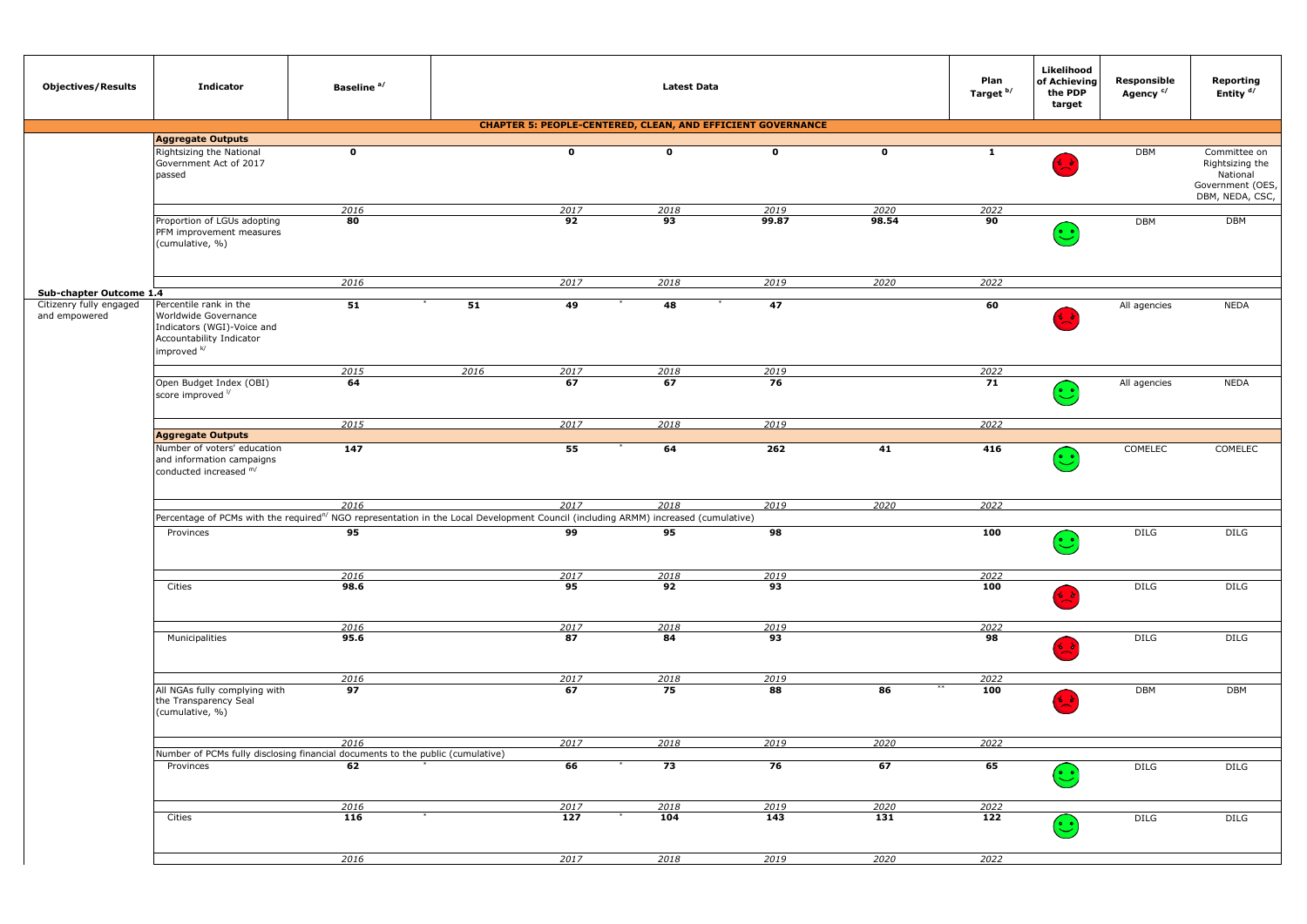| <b>Objectives/Results</b>                | <b>Indicator</b>                                                                                                        | Baseline <sup>a/</sup>                                                                                                                         |      |             | Latest Data |                                                                    |             | Plan<br>Target b/ | Likelihood<br>of Achieving<br>the PDP<br>target                    | Responsible<br>Agency <sup>c/</sup> | Reporting<br>Entity <sup>d/</sup>                                                  |
|------------------------------------------|-------------------------------------------------------------------------------------------------------------------------|------------------------------------------------------------------------------------------------------------------------------------------------|------|-------------|-------------|--------------------------------------------------------------------|-------------|-------------------|--------------------------------------------------------------------|-------------------------------------|------------------------------------------------------------------------------------|
|                                          |                                                                                                                         |                                                                                                                                                |      |             |             | <b>CHAPTER 5: PEOPLE-CENTERED, CLEAN, AND EFFICIENT GOVERNANCE</b> |             |                   |                                                                    |                                     |                                                                                    |
|                                          | <b>Aggregate Outputs</b>                                                                                                |                                                                                                                                                |      |             |             |                                                                    |             |                   |                                                                    |                                     |                                                                                    |
|                                          | Rightsizing the National<br>Government Act of 2017<br>passed                                                            | $\mathbf 0$                                                                                                                                    |      | $\mathbf 0$ | $\pmb{0}$   | $\overline{\mathbf{0}}$                                            | $\mathbf 0$ | 1                 | るる                                                                 | <b>DBM</b>                          | Committee on<br>Rightsizing the<br>National<br>Government (OES,<br>DBM, NEDA, CSC, |
|                                          |                                                                                                                         | 2016                                                                                                                                           |      | 2017        | 2018        | 2019                                                               | 2020        | 2022              |                                                                    |                                     |                                                                                    |
|                                          | Proportion of LGUs adopting<br>PFM improvement measures<br>(cumulative, %)                                              | 80                                                                                                                                             |      | 92          | 93          | 99.87                                                              | 98.54       | 90                | $(\ddot{\mathbin{\smash\cdot}})$                                   | <b>DBM</b>                          | DBM                                                                                |
|                                          |                                                                                                                         | 2016                                                                                                                                           |      | 2017        | 2018        | 2019                                                               | 2020        | 2022              |                                                                    |                                     |                                                                                    |
| Sub-chapter Outcome 1.4                  |                                                                                                                         |                                                                                                                                                |      |             |             |                                                                    |             |                   |                                                                    |                                     |                                                                                    |
| Citizenry fully engaged<br>and empowered | Percentile rank in the<br>Worldwide Governance<br>Indicators (WGI)-Voice and<br>Accountability Indicator<br>improved k/ | 51                                                                                                                                             | 51   | 49          | 48          | 47                                                                 |             | 60                |                                                                    | All agencies                        | <b>NEDA</b>                                                                        |
|                                          |                                                                                                                         | 2015                                                                                                                                           | 2016 | 2017        | 2018        | 2019                                                               |             | 2022              |                                                                    |                                     |                                                                                    |
|                                          | Open Budget Index (OBI)<br>score improved V                                                                             | 64                                                                                                                                             |      | 67          | 67          | - 76                                                               |             | 71                | $\left(\begin{smallmatrix}\bullet&\bullet\end{smallmatrix}\right)$ | All agencies                        | <b>NEDA</b>                                                                        |
|                                          |                                                                                                                         | 2015                                                                                                                                           |      | 2017        | 2018        | 2019                                                               |             | 2022              |                                                                    |                                     |                                                                                    |
|                                          | <b>Aggregate Outputs</b>                                                                                                |                                                                                                                                                |      |             |             |                                                                    |             |                   |                                                                    |                                     |                                                                                    |
|                                          | Number of voters' education<br>and information campaigns<br>conducted increased m/                                      | 147                                                                                                                                            |      | 55          | 64          | 262                                                                | 41          | 416               | $\bullet$                                                          | COMELEC                             | COMELEC                                                                            |
|                                          |                                                                                                                         | 2016                                                                                                                                           |      | 2017        | 2018        | 2019                                                               | 2020        | 2022              |                                                                    |                                     |                                                                                    |
|                                          |                                                                                                                         | Percentage of PCMs with the required <sup>n/</sup> NGO representation in the Local Development Council (including ARMM) increased (cumulative) |      |             |             |                                                                    |             |                   |                                                                    |                                     |                                                                                    |
|                                          | Provinces                                                                                                               | 95                                                                                                                                             |      | 99          | 95          | 98                                                                 |             | 100               | $(\cdot)$                                                          | DILG                                | DILG                                                                               |
|                                          |                                                                                                                         | 2016                                                                                                                                           |      | 2017        | 2018        | 2019                                                               |             | 2022              |                                                                    |                                     |                                                                                    |
|                                          | Cities                                                                                                                  | 98.6                                                                                                                                           |      | 95          | 92          | 93                                                                 |             | 100               |                                                                    | DILG                                | DILG                                                                               |
|                                          |                                                                                                                         | 2016                                                                                                                                           |      | 2017        | 2018        | 2019                                                               |             | 2022              |                                                                    |                                     |                                                                                    |
|                                          | Municipalities                                                                                                          | 95.6                                                                                                                                           |      | 87          | 84          | 93                                                                 |             | 98                |                                                                    | <b>DILG</b>                         | <b>DILG</b>                                                                        |
|                                          |                                                                                                                         | 2016                                                                                                                                           |      | 2017        | 2018        | 2019                                                               |             | 2022              |                                                                    |                                     |                                                                                    |
|                                          | All NGAs fully complying with<br>the Transparency Seal<br>(cumulative, %)                                               | 97                                                                                                                                             |      | 67          | 75          | 88                                                                 | 86          | 100               |                                                                    | <b>DBM</b>                          | DBM                                                                                |
|                                          |                                                                                                                         | 2016                                                                                                                                           |      | 2017        | 2018        | 2019                                                               | 2020        | 2022              |                                                                    |                                     |                                                                                    |
|                                          | Provinces                                                                                                               | Number of PCMs fully disclosing financial documents to the public (cumulative)<br>62                                                           |      | 66          | 73          | 76                                                                 | 67          | 65                |                                                                    |                                     | DILG                                                                               |
|                                          |                                                                                                                         |                                                                                                                                                |      |             |             |                                                                    |             |                   | $(\ddot{\mathbb{C}})$                                              | DILG                                |                                                                                    |
|                                          |                                                                                                                         | 2016                                                                                                                                           |      | 2017        | 2018        | 2019                                                               | 2020        | 2022              |                                                                    |                                     |                                                                                    |
|                                          | Cities                                                                                                                  | 116                                                                                                                                            |      | 127         | 104         | 143                                                                | 131         | 122               | $(\odot)$                                                          | DILG                                | DILG                                                                               |
|                                          |                                                                                                                         | 2016                                                                                                                                           |      | 2017        | 2018        | 2019                                                               | 2020        | 2022              |                                                                    |                                     |                                                                                    |